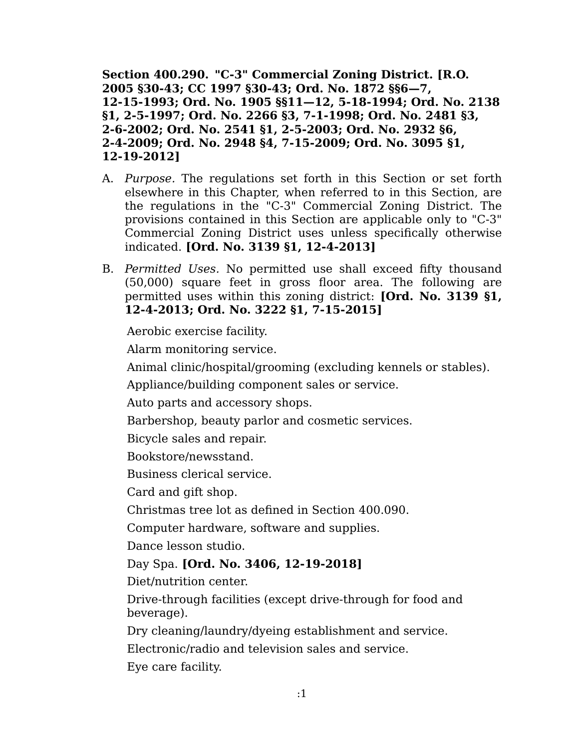**Section 400.290. "C-3" Commercial Zoning District. [R.O. 2005 §30-43; CC 1997 §30-43; Ord. No. 1872 §§6—7, 12-15-1993; Ord. No. 1905 §§11—12, 5-18-1994; Ord. No. 2138 §1, 2-5-1997; Ord. No. 2266 §3, 7-1-1998; Ord. No. 2481 §3, 2-6-2002; Ord. No. 2541 §1, 2-5-2003; Ord. No. 2932 §6, 2-4-2009; Ord. No. 2948 §4, 7-15-2009; Ord. No. 3095 §1, 12-19-2012]**

- A. *Purpose.* The regulations set forth in this Section or set forth elsewhere in this Chapter, when referred to in this Section, are the regulations in the "C-3" Commercial Zoning District. The provisions contained in this Section are applicable only to "C-3" Commercial Zoning District uses unless specifically otherwise indicated. **[Ord. No. 3139 §1, 12-4-2013]**
- B. *Permitted Uses.* No permitted use shall exceed fifty thousand (50,000) square feet in gross floor area. The following are permitted uses within this zoning district: **[Ord. No. 3139 §1, 12-4-2013; Ord. No. 3222 §1, 7-15-2015]**

Aerobic exercise facility.

Alarm monitoring service.

Animal clinic/hospital/grooming (excluding kennels or stables).

Appliance/building component sales or service.

Auto parts and accessory shops.

Barbershop, beauty parlor and cosmetic services.

Bicycle sales and repair.

Bookstore/newsstand.

Business clerical service.

Card and gift shop.

Christmas tree lot as defined in Section 400.090.

Computer hardware, software and supplies.

Dance lesson studio.

## Day Spa. **[Ord. No. 3406, 12-19-2018]**

Diet/nutrition center.

Drive-through facilities (except drive-through for food and beverage).

Dry cleaning/laundry/dyeing establishment and service.

Electronic/radio and television sales and service.

Eye care facility.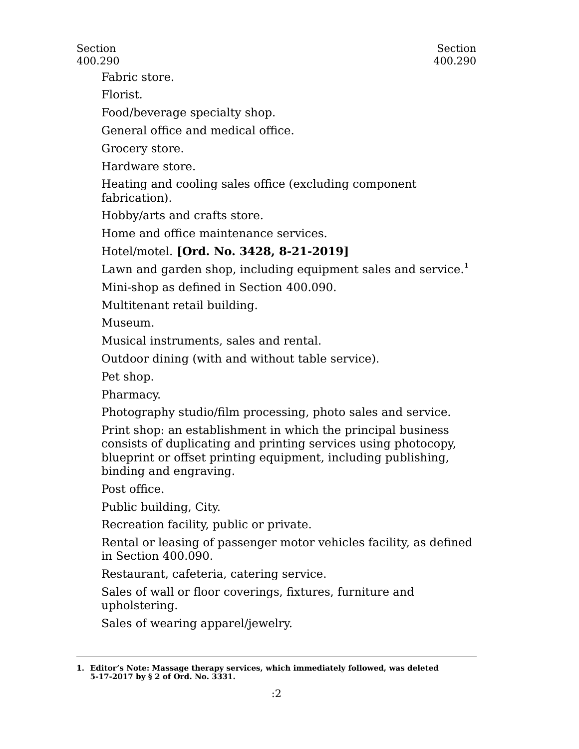Fabric store.

Florist.

Food/beverage specialty shop.

General office and medical office.

Grocery store.

Hardware store.

Heating and cooling sales office (excluding component fabrication).

Hobby/arts and crafts store.

Home and office maintenance services.

## Hotel/motel. **[Ord. No. 3428, 8-21-2019]**

Lawn and garden shop, including equipment sales and service.<sup>1</sup>

Mini-shop as defined in Section 400.090.

Multitenant retail building.

Museum.

Musical instruments, sales and rental.

Outdoor dining (with and without table service).

Pet shop.

Pharmacy.

Photography studio/film processing, photo sales and service.

Print shop: an establishment in which the principal business consists of duplicating and printing services using photocopy, blueprint or offset printing equipment, including publishing, binding and engraving.

Post office.

Public building, City.

Recreation facility, public or private.

Rental or leasing of passenger motor vehicles facility, as defined in Section 400.090.

Restaurant, cafeteria, catering service.

Sales of wall or floor coverings, fixtures, furniture and upholstering.

Sales of wearing apparel/jewelry.

**<sup>1.</sup> Editor's Note: Massage therapy services, which immediately followed, was deleted 5-17-2017 by § 2 of Ord. No. 3331.**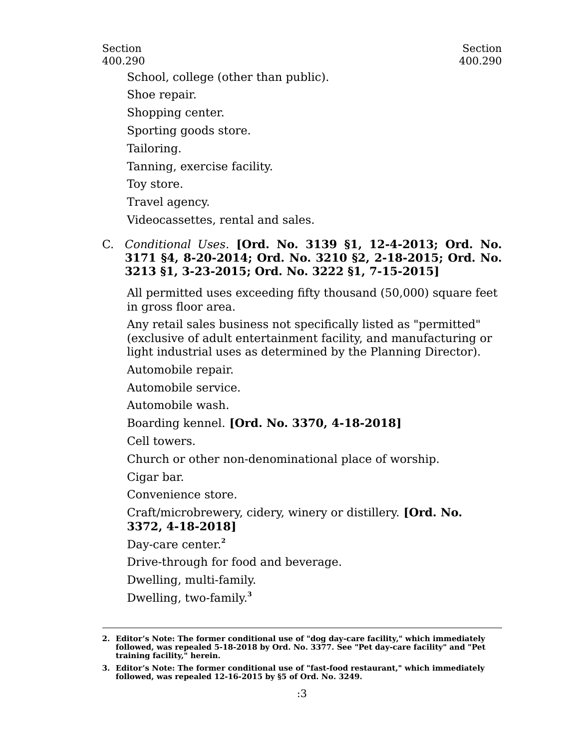Section 400.290

School, college (other than public).

Shoe repair.

Shopping center.

Sporting goods store.

Tailoring.

Tanning, exercise facility.

Toy store.

Travel agency.

Videocassettes, rental and sales.

## C. *Conditional Uses.* **[Ord. No. 3139 §1, 12-4-2013; Ord. No. 3171 §4, 8-20-2014; Ord. No. 3210 §2, 2-18-2015; Ord. No. 3213 §1, 3-23-2015; Ord. No. 3222 §1, 7-15-2015]**

All permitted uses exceeding fifty thousand (50,000) square feet in gross floor area.

Any retail sales business not specifically listed as "permitted" (exclusive of adult entertainment facility, and manufacturing or light industrial uses as determined by the Planning Director).

Automobile repair.

Automobile service.

Automobile wash.

Boarding kennel. **[Ord. No. 3370, 4-18-2018]**

Cell towers.

Church or other non-denominational place of worship.

Cigar bar.

Convenience store.

Craft/microbrewery, cidery, winery or distillery. **[Ord. No. 3372, 4-18-2018]**

Day-care center. **2**

Drive-through for food and beverage.

Dwelling, multi-family.

Dwelling, two-family. **3**

**<sup>2.</sup> Editor's Note: The former conditional use of "dog day-care facility," which immediately followed, was repealed 5-18-2018 by Ord. No. 3377. See "Pet day-care facility" and "Pet training facility," herein.**

**<sup>3.</sup> Editor's Note: The former conditional use of "fast-food restaurant," which immediately followed, was repealed 12-16-2015 by §5 of Ord. No. 3249.**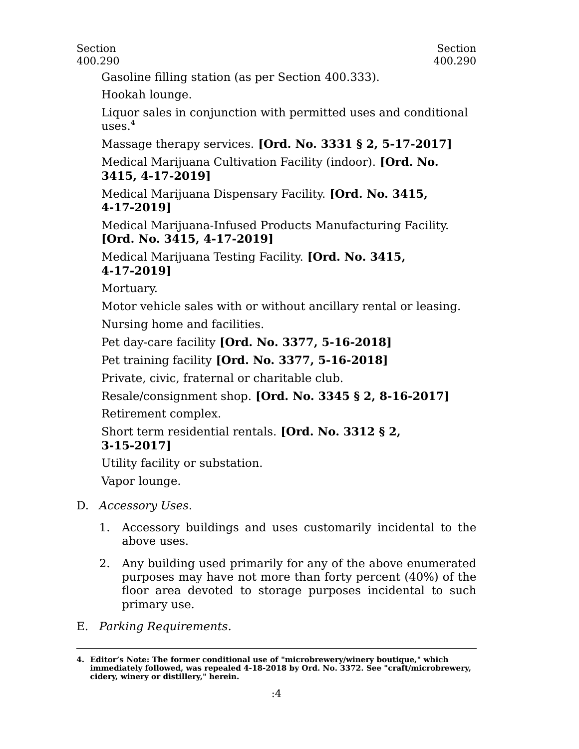Gasoline filling station (as per Section 400.333).

Hookah lounge.

Liquor sales in conjunction with permitted uses and conditional uses.**<sup>4</sup>**

Massage therapy services. **[Ord. No. 3331 § 2, 5-17-2017]**

Medical Marijuana Cultivation Facility (indoor). **[Ord. No. 3415, 4-17-2019]**

Medical Marijuana Dispensary Facility. **[Ord. No. 3415, 4-17-2019]**

Medical Marijuana-Infused Products Manufacturing Facility. **[Ord. No. 3415, 4-17-2019]**

Medical Marijuana Testing Facility. **[Ord. No. 3415, 4-17-2019]**

Mortuary.

Motor vehicle sales with or without ancillary rental or leasing. Nursing home and facilities.

Pet day-care facility **[Ord. No. 3377, 5-16-2018]**

Pet training facility **[Ord. No. 3377, 5-16-2018]**

Private, civic, fraternal or charitable club.

Resale/consignment shop. **[Ord. No. 3345 § 2, 8-16-2017]** Retirement complex.

Short term residential rentals. **[Ord. No. 3312 § 2,**

## **3-15-2017]**

Utility facility or substation.

Vapor lounge.

- D. *Accessory Uses.*
	- 1. Accessory buildings and uses customarily incidental to the above uses.
	- 2. Any building used primarily for any of the above enumerated purposes may have not more than forty percent (40%) of the floor area devoted to storage purposes incidental to such primary use.
- E. *Parking Requirements.*

**<sup>4.</sup> Editor's Note: The former conditional use of "microbrewery/winery boutique," which immediately followed, was repealed 4-18-2018 by Ord. No. 3372. See "craft/microbrewery, cidery, winery or distillery," herein.**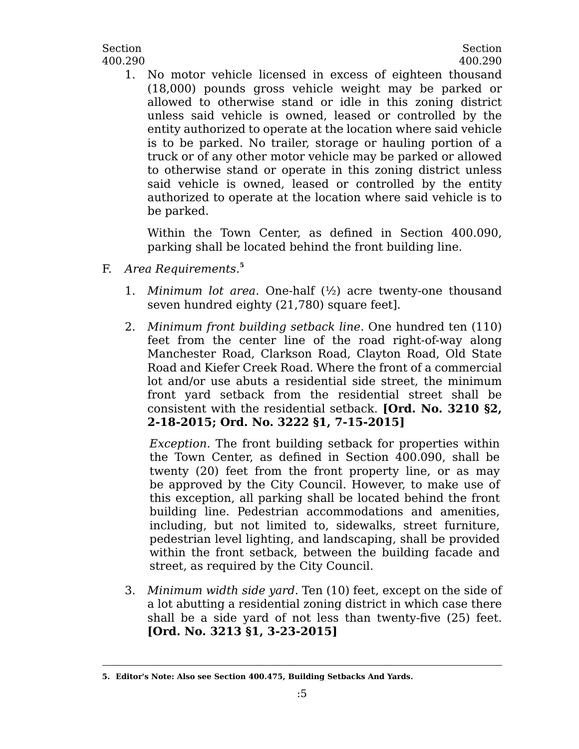1. No motor vehicle licensed in excess of eighteen thousand (18,000) pounds gross vehicle weight may be parked or allowed to otherwise stand or idle in this zoning district unless said vehicle is owned, leased or controlled by the entity authorized to operate at the location where said vehicle is to be parked. No trailer, storage or hauling portion of a truck or of any other motor vehicle may be parked or allowed to otherwise stand or operate in this zoning district unless said vehicle is owned, leased or controlled by the entity authorized to operate at the location where said vehicle is to be parked.

Within the Town Center, as defined in Section 400.090, parking shall be located behind the front building line.

- F. *Area Requirements.***<sup>5</sup>**
	- 1. *Minimum lot area.* One-half (½) acre twenty-one thousand seven hundred eighty (21,780) square feet].
	- 2. *Minimum front building setback line.* One hundred ten (110) feet from the center line of the road right-of-way along Manchester Road, Clarkson Road, Clayton Road, Old State Road and Kiefer Creek Road. Where the front of a commercial lot and/or use abuts a residential side street, the minimum front yard setback from the residential street shall be consistent with the residential setback. **[Ord. No. 3210 §2, 2-18-2015; Ord. No. 3222 §1, 7-15-2015]**

*Exception.* The front building setback for properties within the Town Center, as defined in Section 400.090, shall be twenty (20) feet from the front property line, or as may be approved by the City Council. However, to make use of this exception, all parking shall be located behind the front building line. Pedestrian accommodations and amenities, including, but not limited to, sidewalks, street furniture, pedestrian level lighting, and landscaping, shall be provided within the front setback, between the building facade and street, as required by the City Council.

3. *Minimum width side yard.* Ten (10) feet, except on the side of a lot abutting a residential zoning district in which case there shall be a side yard of not less than twenty-five (25) feet. **[Ord. No. 3213 §1, 3-23-2015]**

**<sup>5.</sup> Editor's Note: Also see Section 400.475, Building Setbacks And Yards.**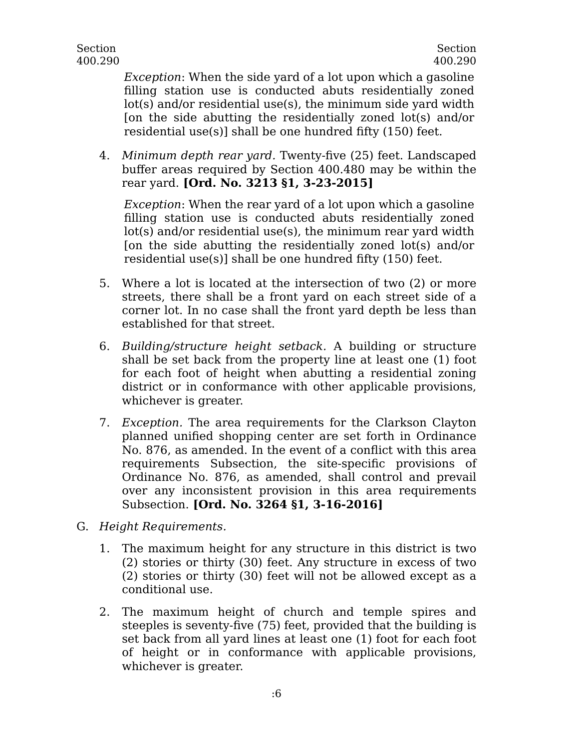*Exception*: When the side yard of a lot upon which a gasoline filling station use is conducted abuts residentially zoned lot(s) and/or residential use(s), the minimum side yard width [on the side abutting the residentially zoned lot(s) and/or residential use(s)] shall be one hundred fifty (150) feet.

4. *Minimum depth rear yard.* Twenty-five (25) feet. Landscaped buffer areas required by Section 400.480 may be within the rear yard. **[Ord. No. 3213 §1, 3-23-2015]**

*Exception*: When the rear yard of a lot upon which a gasoline filling station use is conducted abuts residentially zoned lot(s) and/or residential use(s), the minimum rear yard width [on the side abutting the residentially zoned lot(s) and/or residential use(s)] shall be one hundred fifty (150) feet.

- 5. Where a lot is located at the intersection of two (2) or more streets, there shall be a front yard on each street side of a corner lot. In no case shall the front yard depth be less than established for that street.
- 6. *Building/structure height setback.* A building or structure shall be set back from the property line at least one (1) foot for each foot of height when abutting a residential zoning district or in conformance with other applicable provisions, whichever is greater.
- 7. *Exception.* The area requirements for the Clarkson Clayton planned unified shopping center are set forth in Ordinance No. 876, as amended. In the event of a conflict with this area requirements Subsection, the site-specific provisions of Ordinance No. 876, as amended, shall control and prevail over any inconsistent provision in this area requirements Subsection. **[Ord. No. 3264 §1, 3-16-2016]**
- G. *Height Requirements.*
	- 1. The maximum height for any structure in this district is two (2) stories or thirty (30) feet. Any structure in excess of two (2) stories or thirty (30) feet will not be allowed except as a conditional use.
	- 2. The maximum height of church and temple spires and steeples is seventy-five (75) feet, provided that the building is set back from all yard lines at least one (1) foot for each foot of height or in conformance with applicable provisions, whichever is greater.